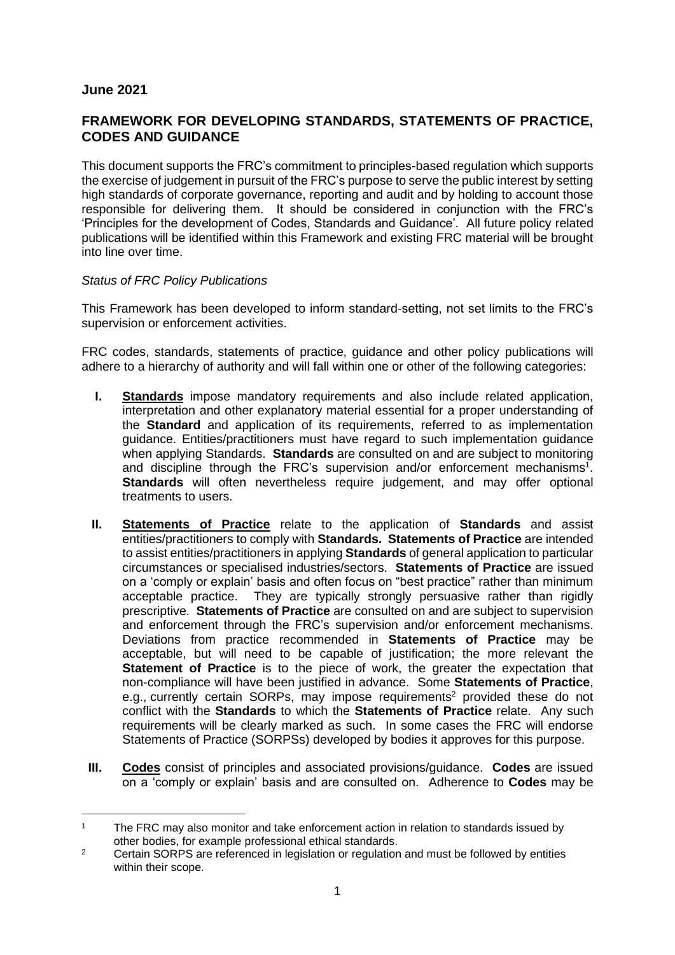## **June 2021**

# **FRAMEWORK FOR DEVELOPING STANDARDS, STATEMENTS OF PRACTICE, CODES AND GUIDANCE**

This document supports the FRC's commitment to principles-based regulation which supports the exercise of judgement in pursuit of the FRC's purpose to serve the public interest by setting high standards of corporate governance, reporting and audit and by holding to account those responsible for delivering them. It should be considered in conjunction with the FRC's 'Principles for the development of Codes, Standards and Guidance'. All future policy related publications will be identified within this Framework and existing FRC material will be brought into line over time.

## *Status of FRC Policy Publications*

This Framework has been developed to inform standard-setting, not set limits to the FRC's supervision or enforcement activities.

FRC codes, standards, statements of practice, guidance and other policy publications will adhere to a hierarchy of authority and will fall within one or other of the following categories:

- **I. Standards** impose mandatory requirements and also include related application, interpretation and other explanatory material essential for a proper understanding of the **Standard** and application of its requirements, referred to as implementation guidance. Entities/practitioners must have regard to such implementation guidance when applying Standards. **Standards** are consulted on and are subject to monitoring and discipline through the FRC's supervision and/or enforcement mechanisms<sup>1</sup>. **Standards** will often nevertheless require judgement, and may offer optional treatments to users.
- **II. Statements of Practice** relate to the application of **Standards** and assist entities/practitioners to comply with **Standards. Statements of Practice** are intended to assist entities/practitioners in applying **Standards** of general application to particular circumstances or specialised industries/sectors. **Statements of Practice** are issued on a 'comply or explain' basis and often focus on "best practice" rather than minimum acceptable practice. They are typically strongly persuasive rather than rigidly prescriptive. **Statements of Practice** are consulted on and are subject to supervision and enforcement through the FRC's supervision and/or enforcement mechanisms. Deviations from practice recommended in **Statements of Practice** may be acceptable, but will need to be capable of justification; the more relevant the **Statement of Practice** is to the piece of work, the greater the expectation that non-compliance will have been justified in advance. Some **Statements of Practice**, e.g., currently certain SORPs, may impose requirements<sup>2</sup> provided these do not conflict with the **Standards** to which the **Statements of Practice** relate. Any such requirements will be clearly marked as such. In some cases the FRC will endorse Statements of Practice (SORPSs) developed by bodies it approves for this purpose.
- **III. Codes** consist of principles and associated provisions/guidance. **Codes** are issued on a 'comply or explain' basis and are consulted on. Adherence to **Codes** may be

<sup>1</sup> The FRC may also monitor and take enforcement action in relation to standards issued by other bodies, for example professional ethical standards.

<sup>&</sup>lt;sup>2</sup> Certain SORPS are referenced in legislation or regulation and must be followed by entities within their scope.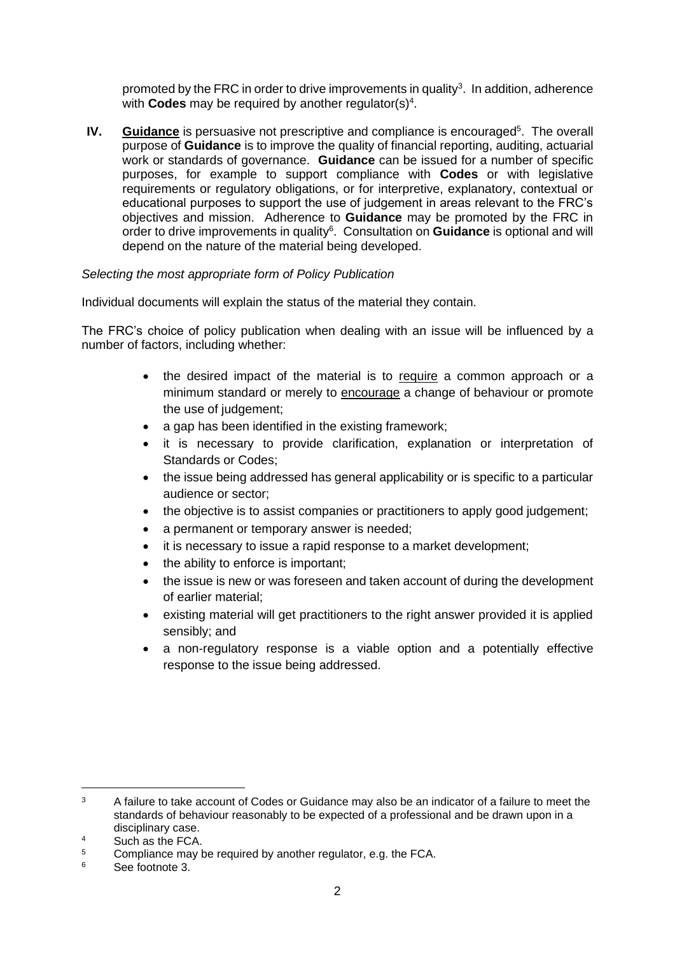promoted by the FRC in order to drive improvements in quality<sup>3</sup>. In addition, adherence with **Codes** may be required by another regulator(s)<sup>4</sup>.

**IV.** Guidance is persuasive not prescriptive and compliance is encouraged<sup>5</sup>. The overall purpose of **Guidance** is to improve the quality of financial reporting, auditing, actuarial work or standards of governance. **Guidance** can be issued for a number of specific purposes, for example to support compliance with **Codes** or with legislative requirements or regulatory obligations, or for interpretive, explanatory, contextual or educational purposes to support the use of judgement in areas relevant to the FRC's objectives and mission. Adherence to **Guidance** may be promoted by the FRC in order to drive improvements in quality<sup>6</sup>. Consultation on **Guidance** is optional and will depend on the nature of the material being developed.

## *Selecting the most appropriate form of Policy Publication*

Individual documents will explain the status of the material they contain.

The FRC's choice of policy publication when dealing with an issue will be influenced by a number of factors, including whether:

- the desired impact of the material is to require a common approach or a minimum standard or merely to encourage a change of behaviour or promote the use of judgement;
- a gap has been identified in the existing framework:
- it is necessary to provide clarification, explanation or interpretation of Standards or Codes;
- the issue being addressed has general applicability or is specific to a particular audience or sector;
- the objective is to assist companies or practitioners to apply good judgement;
- a permanent or temporary answer is needed;
- it is necessary to issue a rapid response to a market development;
- the ability to enforce is important;
- the issue is new or was foreseen and taken account of during the development of earlier material;
- existing material will get practitioners to the right answer provided it is applied sensibly; and
- a non-regulatory response is a viable option and a potentially effective response to the issue being addressed.

<sup>&</sup>lt;sup>3</sup> A failure to take account of Codes or Guidance may also be an indicator of a failure to meet the standards of behaviour reasonably to be expected of a professional and be drawn upon in a disciplinary case.

 $\frac{4}{5}$  Such as the FCA.

 $5$  Compliance may be required by another regulator, e.g. the FCA.<br> $5$  See fortnote 2

See footnote 3.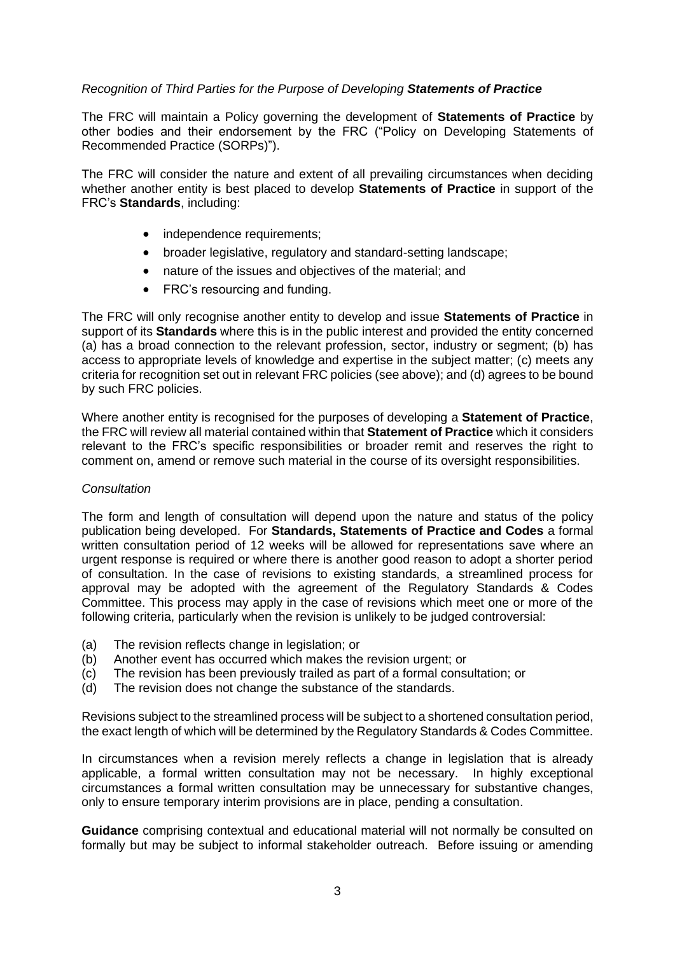#### *Recognition of Third Parties for the Purpose of Developing Statements of Practice*

The FRC will maintain a Policy governing the development of **Statements of Practice** by other bodies and their endorsement by the FRC ("Policy on Developing Statements of Recommended Practice (SORPs)").

The FRC will consider the nature and extent of all prevailing circumstances when deciding whether another entity is best placed to develop **Statements of Practice** in support of the FRC's **Standards**, including:

- independence requirements;
- broader legislative, regulatory and standard-setting landscape;
- nature of the issues and objectives of the material; and
- FRC's resourcing and funding.

The FRC will only recognise another entity to develop and issue **Statements of Practice** in support of its **Standards** where this is in the public interest and provided the entity concerned (a) has a broad connection to the relevant profession, sector, industry or segment; (b) has access to appropriate levels of knowledge and expertise in the subject matter; (c) meets any criteria for recognition set out in relevant FRC policies (see above); and (d) agrees to be bound by such FRC policies.

Where another entity is recognised for the purposes of developing a **Statement of Practice**, the FRC will review all material contained within that **Statement of Practice** which it considers relevant to the FRC's specific responsibilities or broader remit and reserves the right to comment on, amend or remove such material in the course of its oversight responsibilities.

#### *Consultation*

The form and length of consultation will depend upon the nature and status of the policy publication being developed. For **Standards, Statements of Practice and Codes** a formal written consultation period of 12 weeks will be allowed for representations save where an urgent response is required or where there is another good reason to adopt a shorter period of consultation. In the case of revisions to existing standards, a streamlined process for approval may be adopted with the agreement of the Regulatory Standards & Codes Committee. This process may apply in the case of revisions which meet one or more of the following criteria, particularly when the revision is unlikely to be judged controversial:

- (a) The revision reflects change in legislation; or
- (b) Another event has occurred which makes the revision urgent; or
- (c) The revision has been previously trailed as part of a formal consultation; or
- (d) The revision does not change the substance of the standards.

Revisions subject to the streamlined process will be subject to a shortened consultation period, the exact length of which will be determined by the Regulatory Standards & Codes Committee.

In circumstances when a revision merely reflects a change in legislation that is already applicable, a formal written consultation may not be necessary. In highly exceptional circumstances a formal written consultation may be unnecessary for substantive changes, only to ensure temporary interim provisions are in place, pending a consultation.

**Guidance** comprising contextual and educational material will not normally be consulted on formally but may be subject to informal stakeholder outreach. Before issuing or amending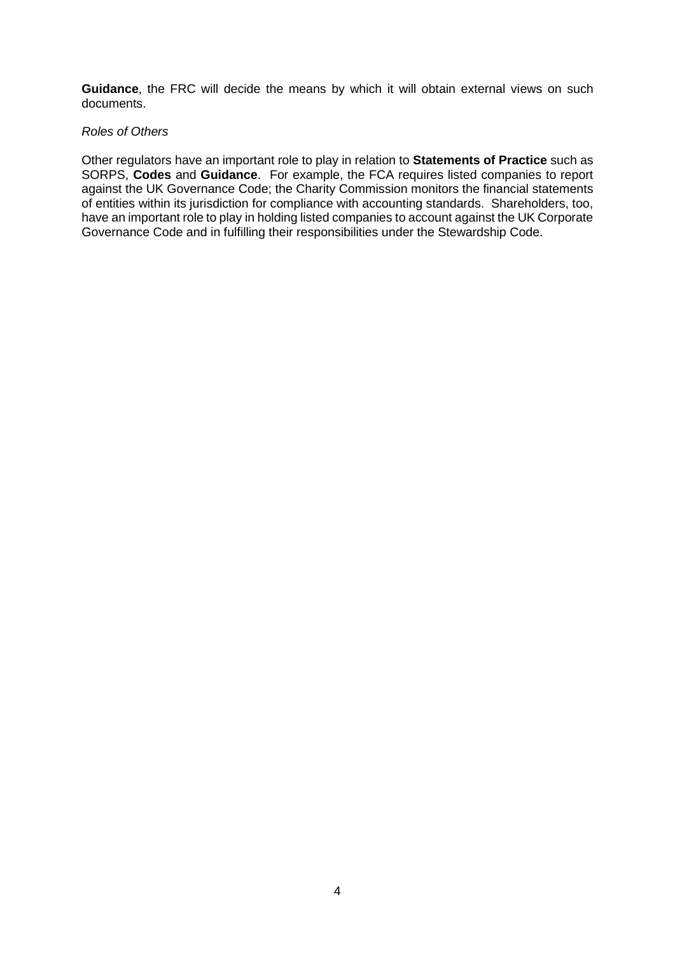**Guidance**, the FRC will decide the means by which it will obtain external views on such documents.

#### *Roles of Others*

Other regulators have an important role to play in relation to **Statements of Practice** such as SORPS, **Codes** and **Guidance**. For example, the FCA requires listed companies to report against the UK Governance Code; the Charity Commission monitors the financial statements of entities within its jurisdiction for compliance with accounting standards. Shareholders, too, have an important role to play in holding listed companies to account against the UK Corporate Governance Code and in fulfilling their responsibilities under the Stewardship Code.